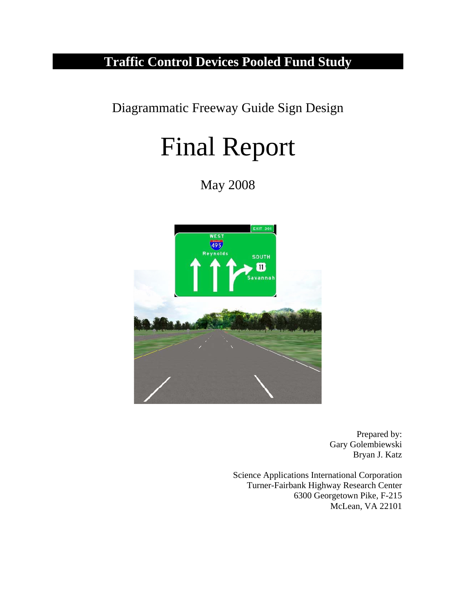## **Traffic Control Devices Pooled Fund Study**

Diagrammatic Freeway Guide Sign Design

# Final Report

May 2008



Prepared by: Gary Golembiewski Bryan J. Katz

Science Applications International Corporation Turner-Fairbank Highway Research Center 6300 Georgetown Pike, F-215 McLean, VA 22101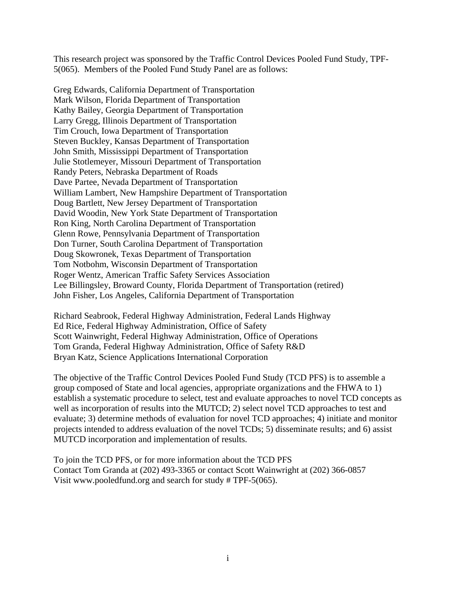This research project was sponsored by the Traffic Control Devices Pooled Fund Study, TPF-5(065). Members of the Pooled Fund Study Panel are as follows:

Greg Edwards, California Department of Transportation Mark Wilson, Florida Department of Transportation Kathy Bailey, Georgia Department of Transportation Larry Gregg, Illinois Department of Transportation Tim Crouch, Iowa Department of Transportation Steven Buckley, Kansas Department of Transportation John Smith, Mississippi Department of Transportation Julie Stotlemeyer, Missouri Department of Transportation Randy Peters, Nebraska Department of Roads Dave Partee, Nevada Department of Transportation William Lambert, New Hampshire Department of Transportation Doug Bartlett, New Jersey Department of Transportation David Woodin, New York State Department of Transportation Ron King, North Carolina Department of Transportation Glenn Rowe, Pennsylvania Department of Transportation Don Turner, South Carolina Department of Transportation Doug Skowronek, Texas Department of Transportation Tom Notbohm, Wisconsin Department of Transportation Roger Wentz, American Traffic Safety Services Association Lee Billingsley, Broward County, Florida Department of Transportation (retired) John Fisher, Los Angeles, California Department of Transportation

Richard Seabrook, Federal Highway Administration, Federal Lands Highway Ed Rice, Federal Highway Administration, Office of Safety Scott Wainwright, Federal Highway Administration, Office of Operations Tom Granda, Federal Highway Administration, Office of Safety R&D Bryan Katz, Science Applications International Corporation

The objective of the Traffic Control Devices Pooled Fund Study (TCD PFS) is to assemble a group composed of State and local agencies, appropriate organizations and the FHWA to 1) establish a systematic procedure to select, test and evaluate approaches to novel TCD concepts as well as incorporation of results into the MUTCD; 2) select novel TCD approaches to test and evaluate; 3) determine methods of evaluation for novel TCD approaches; 4) initiate and monitor projects intended to address evaluation of the novel TCDs; 5) disseminate results; and 6) assist MUTCD incorporation and implementation of results.

To join the TCD PFS, or for more information about the TCD PFS Contact Tom Granda at (202) 493-3365 or contact Scott Wainwright at (202) 366-0857 Visit www.pooledfund.org and search for study # TPF-5(065).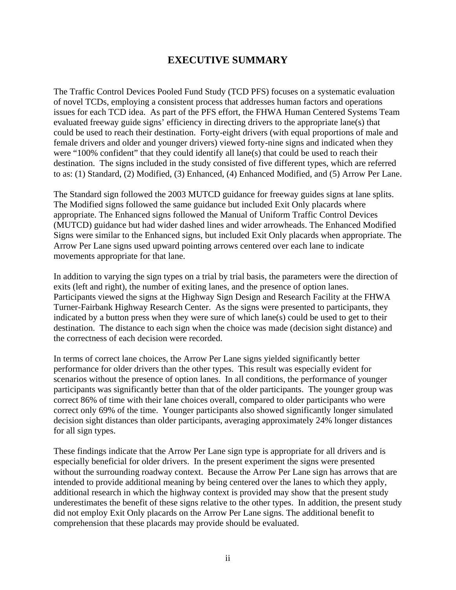## **EXECUTIVE SUMMARY**

The Traffic Control Devices Pooled Fund Study (TCD PFS) focuses on a systematic evaluation of novel TCDs, employing a consistent process that addresses human factors and operations issues for each TCD idea. As part of the PFS effort, the FHWA Human Centered Systems Team evaluated freeway guide signs' efficiency in directing drivers to the appropriate lane(s) that could be used to reach their destination. Forty-eight drivers (with equal proportions of male and female drivers and older and younger drivers) viewed forty-nine signs and indicated when they were "100% confident" that they could identify all lane(s) that could be used to reach their destination. The signs included in the study consisted of five different types, which are referred to as: (1) Standard, (2) Modified, (3) Enhanced, (4) Enhanced Modified, and (5) Arrow Per Lane.

The Standard sign followed the 2003 MUTCD guidance for freeway guides signs at lane splits. The Modified signs followed the same guidance but included Exit Only placards where appropriate. The Enhanced signs followed the Manual of Uniform Traffic Control Devices (MUTCD) guidance but had wider dashed lines and wider arrowheads. The Enhanced Modified Signs were similar to the Enhanced signs, but included Exit Only placards when appropriate. The Arrow Per Lane signs used upward pointing arrows centered over each lane to indicate movements appropriate for that lane.

In addition to varying the sign types on a trial by trial basis, the parameters were the direction of exits (left and right), the number of exiting lanes, and the presence of option lanes. Participants viewed the signs at the Highway Sign Design and Research Facility at the FHWA Turner-Fairbank Highway Research Center. As the signs were presented to participants, they indicated by a button press when they were sure of which lane(s) could be used to get to their destination. The distance to each sign when the choice was made (decision sight distance) and the correctness of each decision were recorded.

In terms of correct lane choices, the Arrow Per Lane signs yielded significantly better performance for older drivers than the other types. This result was especially evident for scenarios without the presence of option lanes. In all conditions, the performance of younger participants was significantly better than that of the older participants. The younger group was correct 86% of time with their lane choices overall, compared to older participants who were correct only 69% of the time. Younger participants also showed significantly longer simulated decision sight distances than older participants, averaging approximately 24% longer distances for all sign types.

These findings indicate that the Arrow Per Lane sign type is appropriate for all drivers and is especially beneficial for older drivers. In the present experiment the signs were presented without the surrounding roadway context. Because the Arrow Per Lane sign has arrows that are intended to provide additional meaning by being centered over the lanes to which they apply, additional research in which the highway context is provided may show that the present study underestimates the benefit of these signs relative to the other types. In addition, the present study did not employ Exit Only placards on the Arrow Per Lane signs. The additional benefit to comprehension that these placards may provide should be evaluated.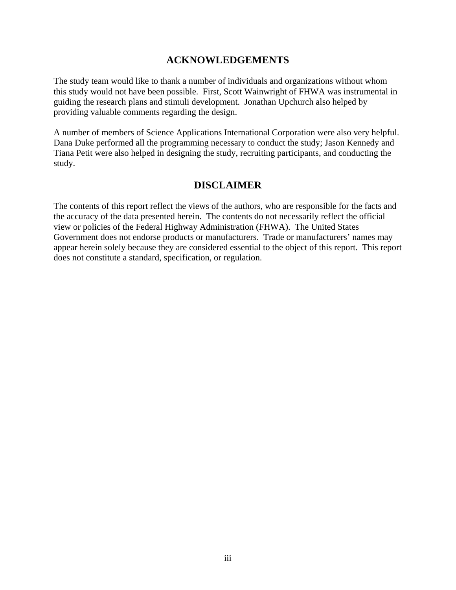## **ACKNOWLEDGEMENTS**

The study team would like to thank a number of individuals and organizations without whom this study would not have been possible. First, Scott Wainwright of FHWA was instrumental in guiding the research plans and stimuli development. Jonathan Upchurch also helped by providing valuable comments regarding the design.

A number of members of Science Applications International Corporation were also very helpful. Dana Duke performed all the programming necessary to conduct the study; Jason Kennedy and Tiana Petit were also helped in designing the study, recruiting participants, and conducting the study.

## **DISCLAIMER**

The contents of this report reflect the views of the authors, who are responsible for the facts and the accuracy of the data presented herein. The contents do not necessarily reflect the official view or policies of the Federal Highway Administration (FHWA). The United States Government does not endorse products or manufacturers. Trade or manufacturers' names may appear herein solely because they are considered essential to the object of this report. This report does not constitute a standard, specification, or regulation.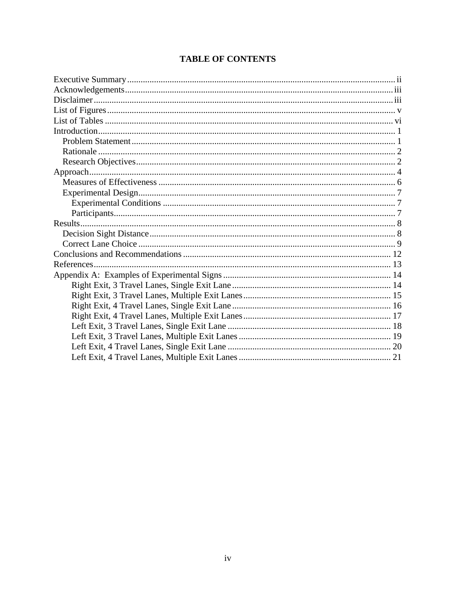|  | <b>TABLE OF CONTENTS</b> |
|--|--------------------------|
|--|--------------------------|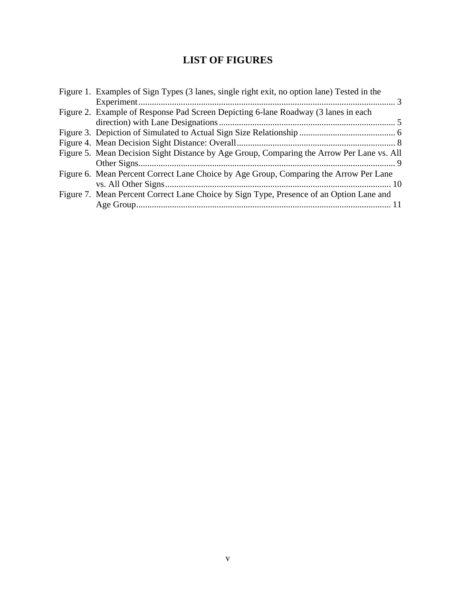## **LIST OF FIGURES**

| Figure 1. Examples of Sign Types (3 lanes, single right exit, no option lane) Tested in the |  |
|---------------------------------------------------------------------------------------------|--|
|                                                                                             |  |
| Figure 2. Example of Response Pad Screen Depicting 6-lane Roadway (3 lanes in each          |  |
|                                                                                             |  |
|                                                                                             |  |
|                                                                                             |  |
| Figure 5. Mean Decision Sight Distance by Age Group, Comparing the Arrow Per Lane vs. All   |  |
|                                                                                             |  |
| Figure 6. Mean Percent Correct Lane Choice by Age Group, Comparing the Arrow Per Lane       |  |
|                                                                                             |  |
| Figure 7. Mean Percent Correct Lane Choice by Sign Type, Presence of an Option Lane and     |  |
|                                                                                             |  |
|                                                                                             |  |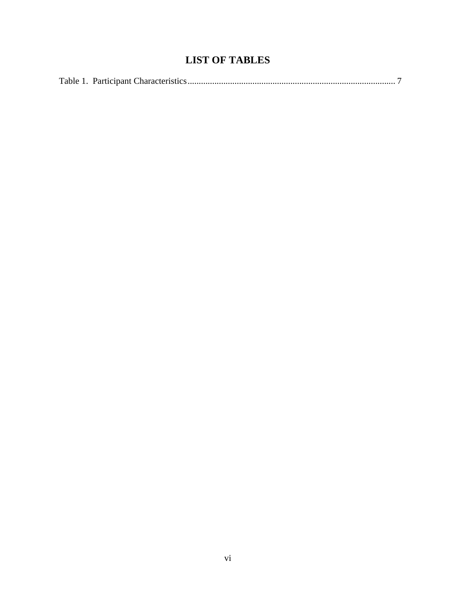## **LIST OF TABLES**

|--|--|--|--|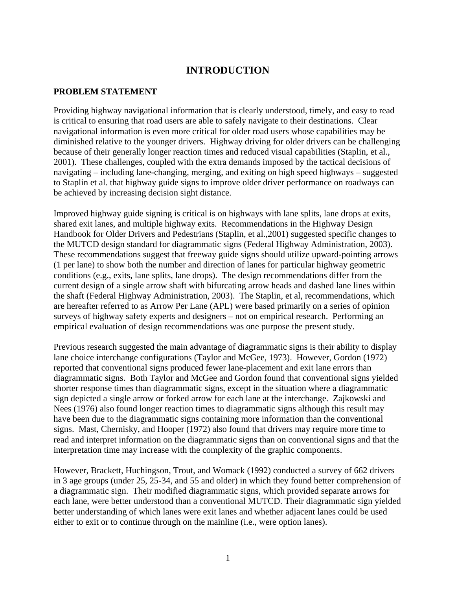## **INTRODUCTION**

#### **PROBLEM STATEMENT**

Providing highway navigational information that is clearly understood, timely, and easy to read is critical to ensuring that road users are able to safely navigate to their destinations. Clear navigational information is even more critical for older road users whose capabilities may be diminished relative to the younger drivers. Highway driving for older drivers can be challenging because of their generally longer reaction times and reduced visual capabilities (Staplin, et al., 2001). These challenges, coupled with the extra demands imposed by the tactical decisions of navigating – including lane-changing, merging, and exiting on high speed highways – suggested to Staplin et al. that highway guide signs to improve older driver performance on roadways can be achieved by increasing decision sight distance.

Improved highway guide signing is critical is on highways with lane splits, lane drops at exits, shared exit lanes, and multiple highway exits. Recommendations in the Highway Design Handbook for Older Drivers and Pedestrians (Staplin, et al.,2001) suggested specific changes to the MUTCD design standard for diagrammatic signs (Federal Highway Administration, 2003). These recommendations suggest that freeway guide signs should utilize upward-pointing arrows (1 per lane) to show both the number and direction of lanes for particular highway geometric conditions (e.g., exits, lane splits, lane drops). The design recommendations differ from the current design of a single arrow shaft with bifurcating arrow heads and dashed lane lines within the shaft (Federal Highway Administration, 2003). The Staplin, et al, recommendations, which are hereafter referred to as Arrow Per Lane (APL) were based primarily on a series of opinion surveys of highway safety experts and designers – not on empirical research. Performing an empirical evaluation of design recommendations was one purpose the present study.

Previous research suggested the main advantage of diagrammatic signs is their ability to display lane choice interchange configurations (Taylor and McGee, 1973). However, Gordon (1972) reported that conventional signs produced fewer lane-placement and exit lane errors than diagrammatic signs. Both Taylor and McGee and Gordon found that conventional signs yielded shorter response times than diagrammatic signs, except in the situation where a diagrammatic sign depicted a single arrow or forked arrow for each lane at the interchange. Zajkowski and Nees (1976) also found longer reaction times to diagrammatic signs although this result may have been due to the diagrammatic signs containing more information than the conventional signs. Mast, Chernisky, and Hooper (1972) also found that drivers may require more time to read and interpret information on the diagrammatic signs than on conventional signs and that the interpretation time may increase with the complexity of the graphic components.

However, Brackett, Huchingson, Trout, and Womack (1992) conducted a survey of 662 drivers in 3 age groups (under 25, 25-34, and 55 and older) in which they found better comprehension of a diagrammatic sign. Their modified diagrammatic signs, which provided separate arrows for each lane, were better understood than a conventional MUTCD. Their diagrammatic sign yielded better understanding of which lanes were exit lanes and whether adjacent lanes could be used either to exit or to continue through on the mainline (i.e., were option lanes).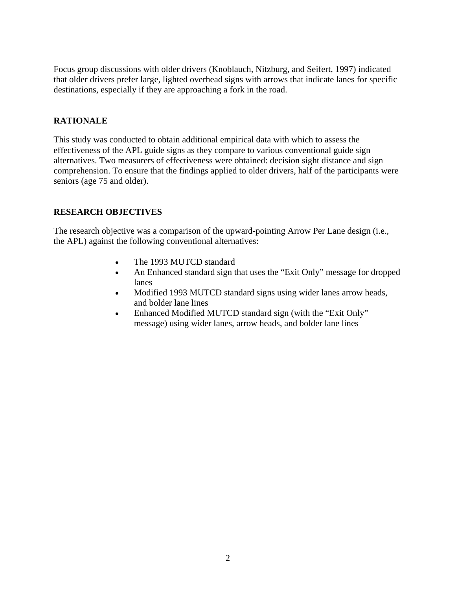Focus group discussions with older drivers (Knoblauch, Nitzburg, and Seifert, 1997) indicated that older drivers prefer large, lighted overhead signs with arrows that indicate lanes for specific destinations, especially if they are approaching a fork in the road.

#### **RATIONALE**

This study was conducted to obtain additional empirical data with which to assess the effectiveness of the APL guide signs as they compare to various conventional guide sign alternatives. Two measurers of effectiveness were obtained: decision sight distance and sign comprehension. To ensure that the findings applied to older drivers, half of the participants were seniors (age 75 and older).

#### **RESEARCH OBJECTIVES**

The research objective was a comparison of the upward-pointing Arrow Per Lane design (i.e., the APL) against the following conventional alternatives:

- The 1993 MUTCD standard
- An Enhanced standard sign that uses the "Exit Only" message for dropped lanes
- Modified 1993 MUTCD standard signs using wider lanes arrow heads, and bolder lane lines
- Enhanced Modified MUTCD standard sign (with the "Exit Only" message) using wider lanes, arrow heads, and bolder lane lines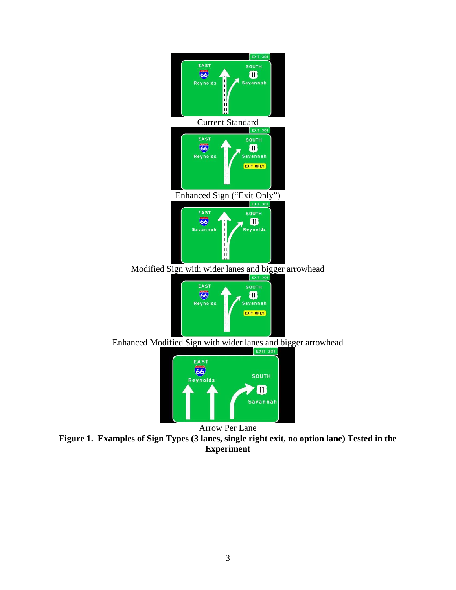

Savannah Arrow Per Lane

**Figure 1. Examples of Sign Types (3 lanes, single right exit, no option lane) Tested in the Experiment**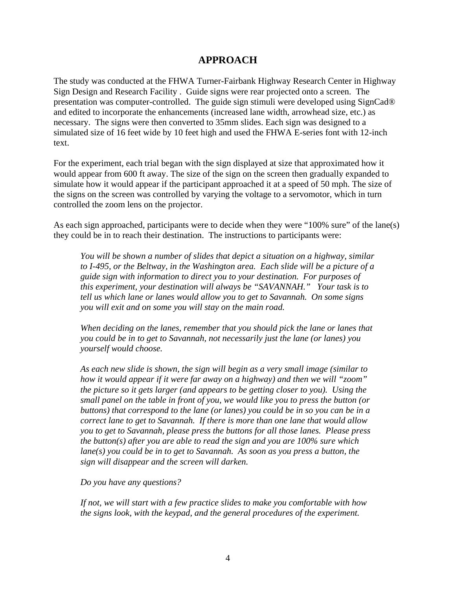## **APPROACH**

The study was conducted at the FHWA Turner-Fairbank Highway Research Center in Highway Sign Design and Research Facility . Guide signs were rear projected onto a screen. The presentation was computer-controlled. The guide sign stimuli were developed using SignCad® and edited to incorporate the enhancements (increased lane width, arrowhead size, etc.) as necessary. The signs were then converted to 35mm slides. Each sign was designed to a simulated size of 16 feet wide by 10 feet high and used the FHWA E-series font with 12-inch text.

For the experiment, each trial began with the sign displayed at size that approximated how it would appear from 600 ft away. The size of the sign on the screen then gradually expanded to simulate how it would appear if the participant approached it at a speed of 50 mph. The size of the signs on the screen was controlled by varying the voltage to a servomotor, which in turn controlled the zoom lens on the projector.

As each sign approached, participants were to decide when they were "100% sure" of the lane(s) they could be in to reach their destination. The instructions to participants were:

*You will be shown a number of slides that depict a situation on a highway, similar to I-495, or the Beltway, in the Washington area. Each slide will be a picture of a guide sign with information to direct you to your destination. For purposes of this experiment, your destination will always be "SAVANNAH." Your task is to tell us which lane or lanes would allow you to get to Savannah. On some signs you will exit and on some you will stay on the main road.* 

*When deciding on the lanes, remember that you should pick the lane or lanes that you could be in to get to Savannah, not necessarily just the lane (or lanes) you yourself would choose.* 

*As each new slide is shown, the sign will begin as a very small image (similar to how it would appear if it were far away on a highway) and then we will "zoom" the picture so it gets larger (and appears to be getting closer to you). Using the small panel on the table in front of you, we would like you to press the button (or buttons) that correspond to the lane (or lanes) you could be in so you can be in a correct lane to get to Savannah. If there is more than one lane that would allow you to get to Savannah, please press the buttons for all those lanes. Please press the button(s) after you are able to read the sign and you are 100% sure which lane(s) you could be in to get to Savannah. As soon as you press a button, the sign will disappear and the screen will darken.* 

*Do you have any questions?* 

*If not, we will start with a few practice slides to make you comfortable with how the signs look, with the keypad, and the general procedures of the experiment.*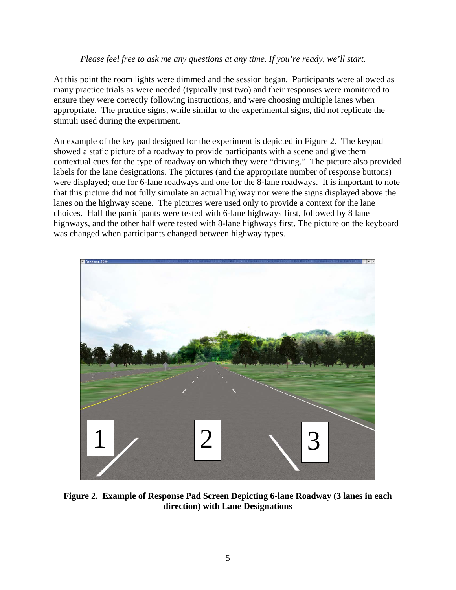#### *Please feel free to ask me any questions at any time. If you're ready, we'll start.*

At this point the room lights were dimmed and the session began. Participants were allowed as many practice trials as were needed (typically just two) and their responses were monitored to ensure they were correctly following instructions, and were choosing multiple lanes when appropriate. The practice signs, while similar to the experimental signs, did not replicate the stimuli used during the experiment.

An example of the key pad designed for the experiment is depicted in Figure 2. The keypad showed a static picture of a roadway to provide participants with a scene and give them contextual cues for the type of roadway on which they were "driving." The picture also provided labels for the lane designations. The pictures (and the appropriate number of response buttons) were displayed; one for 6-lane roadways and one for the 8-lane roadways. It is important to note that this picture did not fully simulate an actual highway nor were the signs displayed above the lanes on the highway scene. The pictures were used only to provide a context for the lane choices. Half the participants were tested with 6-lane highways first, followed by 8 lane highways, and the other half were tested with 8-lane highways first. The picture on the keyboard was changed when participants changed between highway types.



**Figure 2. Example of Response Pad Screen Depicting 6-lane Roadway (3 lanes in each direction) with Lane Designations**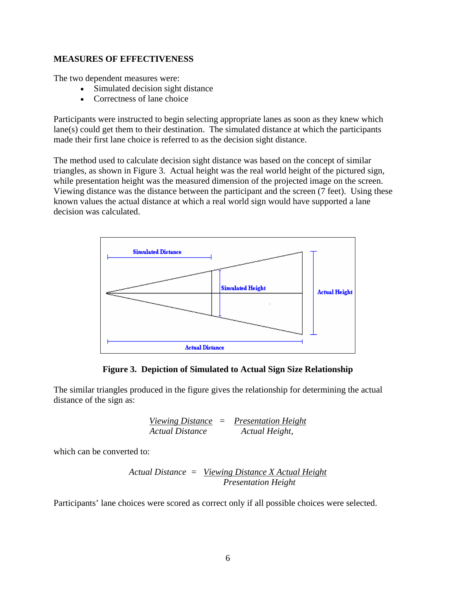#### **MEASURES OF EFFECTIVENESS**

The two dependent measures were:

- Simulated decision sight distance
- Correctness of lane choice

Participants were instructed to begin selecting appropriate lanes as soon as they knew which lane(s) could get them to their destination. The simulated distance at which the participants made their first lane choice is referred to as the decision sight distance.

The method used to calculate decision sight distance was based on the concept of similar triangles, as shown in Figure 3. Actual height was the real world height of the pictured sign, while presentation height was the measured dimension of the projected image on the screen. Viewing distance was the distance between the participant and the screen (7 feet). Using these known values the actual distance at which a real world sign would have supported a lane decision was calculated.



**Figure 3. Depiction of Simulated to Actual Sign Size Relationship** 

The similar triangles produced in the figure gives the relationship for determining the actual distance of the sign as:

*Viewing Distance = Presentation Height Actual Distance Actual Height,* 

which can be converted to:

*Actual Distance = Viewing Distance X Actual Height Presentation Height* 

Participants' lane choices were scored as correct only if all possible choices were selected.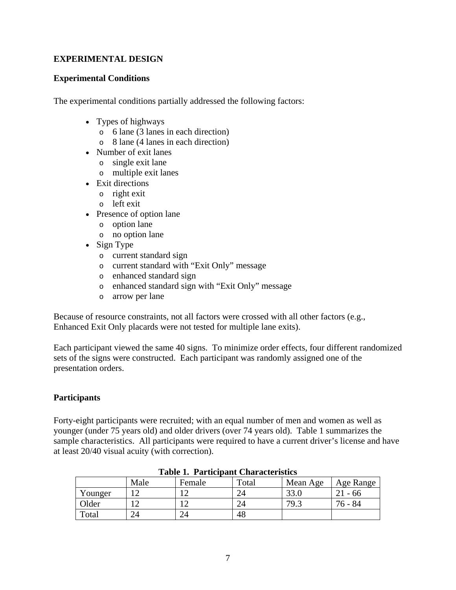#### **EXPERIMENTAL DESIGN**

#### **Experimental Conditions**

The experimental conditions partially addressed the following factors:

- Types of highways
	- o 6 lane (3 lanes in each direction)
	- o 8 lane (4 lanes in each direction)
- Number of exit lanes
	- o single exit lane
	- o multiple exit lanes
- Exit directions
	- o right exit
	- o left exit
- Presence of option lane
	- o option lane
	- o no option lane
- Sign Type
	- o current standard sign
	- o current standard with "Exit Only" message
	- o enhanced standard sign
	- o enhanced standard sign with "Exit Only" message
	- o arrow per lane

Because of resource constraints, not all factors were crossed with all other factors (e.g., Enhanced Exit Only placards were not tested for multiple lane exits).

Each participant viewed the same 40 signs. To minimize order effects, four different randomized sets of the signs were constructed. Each participant was randomly assigned one of the presentation orders.

#### **Participants**

Forty-eight participants were recruited; with an equal number of men and women as well as younger (under 75 years old) and older drivers (over 74 years old). Table 1 summarizes the sample characteristics. All participants were required to have a current driver's license and have at least 20/40 visual acuity (with correction).

| ---------------- |      |                      |       |          |           |  |  |  |
|------------------|------|----------------------|-------|----------|-----------|--|--|--|
|                  | Male | Female               | Total | Mean Age | Age Range |  |  |  |
| Younger          |      |                      |       | 221      | - 66      |  |  |  |
| Older            |      |                      |       | 79.3     | 84<br>76  |  |  |  |
| Total            | 24   | $\gamma_{\varDelta}$ | 48    |          |           |  |  |  |

#### **Table 1. Participant Characteristics**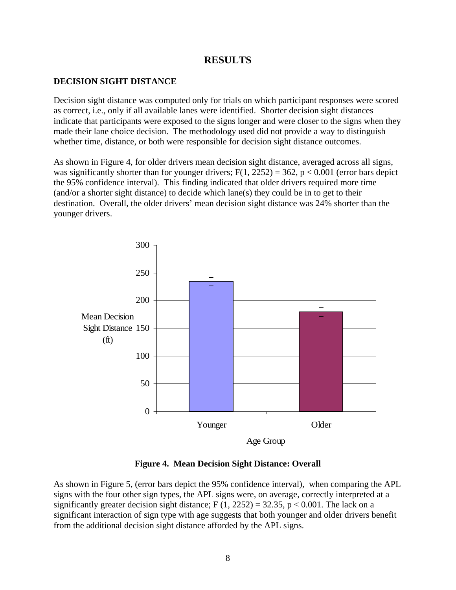#### **RESULTS**

#### **DECISION SIGHT DISTANCE**

Decision sight distance was computed only for trials on which participant responses were scored as correct, i.e., only if all available lanes were identified. Shorter decision sight distances indicate that participants were exposed to the signs longer and were closer to the signs when they made their lane choice decision. The methodology used did not provide a way to distinguish whether time, distance, or both were responsible for decision sight distance outcomes.

As shown in Figure 4, for older drivers mean decision sight distance, averaged across all signs, was significantly shorter than for younger drivers;  $F(1, 2252) = 362$ ,  $p < 0.001$  (error bars depict the 95% confidence interval). This finding indicated that older drivers required more time (and/or a shorter sight distance) to decide which lane(s) they could be in to get to their destination. Overall, the older drivers' mean decision sight distance was 24% shorter than the younger drivers.



**Figure 4. Mean Decision Sight Distance: Overall** 

As shown in Figure 5, (error bars depict the 95% confidence interval), when comparing the APL signs with the four other sign types, the APL signs were, on average, correctly interpreted at a significantly greater decision sight distance;  $F(1, 2252) = 32.35$ ,  $p < 0.001$ . The lack on a significant interaction of sign type with age suggests that both younger and older drivers benefit from the additional decision sight distance afforded by the APL signs.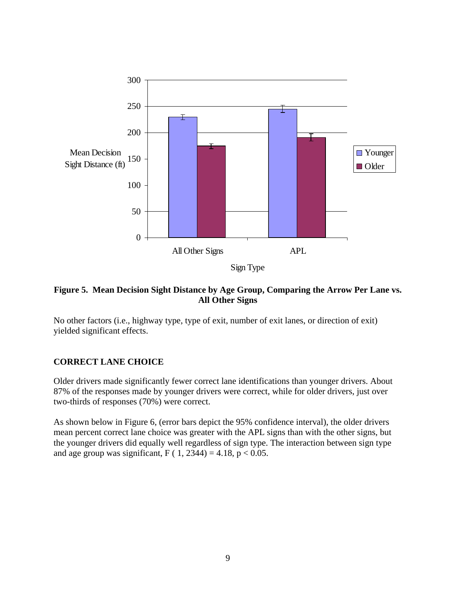

#### **Figure 5. Mean Decision Sight Distance by Age Group, Comparing the Arrow Per Lane vs. All Other Signs**

No other factors (i.e., highway type, type of exit, number of exit lanes, or direction of exit) yielded significant effects.

#### **CORRECT LANE CHOICE**

Older drivers made significantly fewer correct lane identifications than younger drivers. About 87% of the responses made by younger drivers were correct, while for older drivers, just over two-thirds of responses (70%) were correct.

As shown below in Figure 6, (error bars depict the 95% confidence interval), the older drivers mean percent correct lane choice was greater with the APL signs than with the other signs, but the younger drivers did equally well regardless of sign type. The interaction between sign type and age group was significant, F (  $1, 2344$ ) = 4.18, p < 0.05.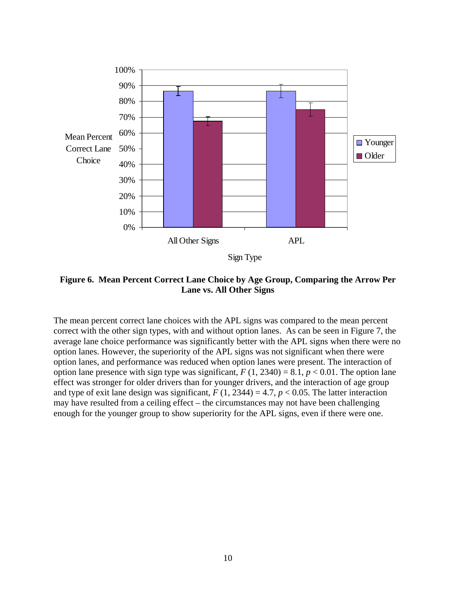

**Figure 6. Mean Percent Correct Lane Choice by Age Group, Comparing the Arrow Per Lane vs. All Other Signs** 

The mean percent correct lane choices with the APL signs was compared to the mean percent correct with the other sign types, with and without option lanes. As can be seen in Figure 7, the average lane choice performance was significantly better with the APL signs when there were no option lanes. However, the superiority of the APL signs was not significant when there were option lanes, and performance was reduced when option lanes were present. The interaction of option lane presence with sign type was significant,  $F(1, 2340) = 8.1$ ,  $p < 0.01$ . The option lane effect was stronger for older drivers than for younger drivers, and the interaction of age group and type of exit lane design was significant,  $F(1, 2344) = 4.7$ ,  $p < 0.05$ . The latter interaction may have resulted from a ceiling effect – the circumstances may not have been challenging enough for the younger group to show superiority for the APL signs, even if there were one.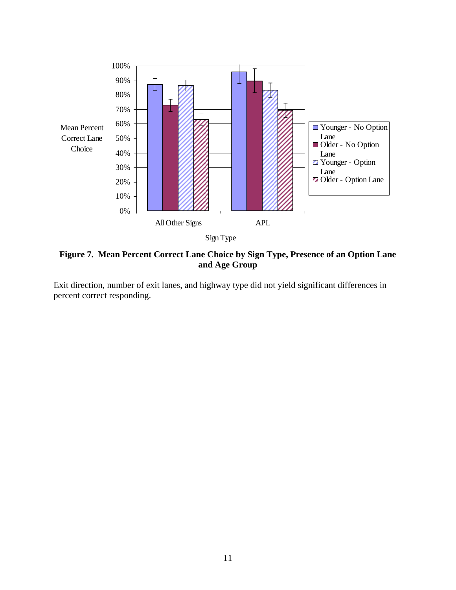

**Figure 7. Mean Percent Correct Lane Choice by Sign Type, Presence of an Option Lane and Age Group** 

Exit direction, number of exit lanes, and highway type did not yield significant differences in percent correct responding.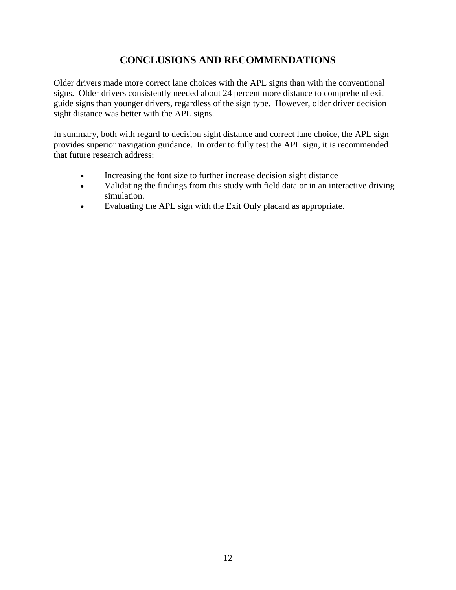## **CONCLUSIONS AND RECOMMENDATIONS**

Older drivers made more correct lane choices with the APL signs than with the conventional signs. Older drivers consistently needed about 24 percent more distance to comprehend exit guide signs than younger drivers, regardless of the sign type. However, older driver decision sight distance was better with the APL signs.

In summary, both with regard to decision sight distance and correct lane choice, the APL sign provides superior navigation guidance. In order to fully test the APL sign, it is recommended that future research address:

- Increasing the font size to further increase decision sight distance
- Validating the findings from this study with field data or in an interactive driving simulation.
- Evaluating the APL sign with the Exit Only placard as appropriate.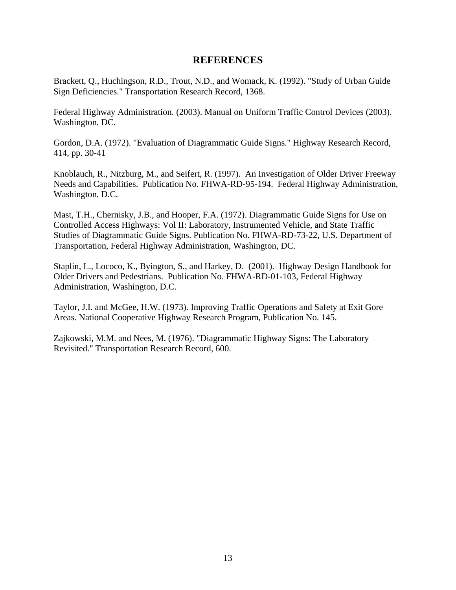#### **REFERENCES**

Brackett, Q., Huchingson, R.D., Trout, N.D., and Womack, K. (1992). "Study of Urban Guide Sign Deficiencies." Transportation Research Record, 1368.

Federal Highway Administration. (2003). Manual on Uniform Traffic Control Devices (2003). Washington, DC.

Gordon, D.A. (1972). "Evaluation of Diagrammatic Guide Signs." Highway Research Record, 414, pp. 30-41

Knoblauch, R., Nitzburg, M., and Seifert, R. (1997). An Investigation of Older Driver Freeway Needs and Capabilities. Publication No. FHWA-RD-95-194. Federal Highway Administration, Washington, D.C.

Mast, T.H., Chernisky, J.B., and Hooper, F.A. (1972). Diagrammatic Guide Signs for Use on Controlled Access Highways: Vol II: Laboratory, Instrumented Vehicle, and State Traffic Studies of Diagrammatic Guide Signs. Publication No. FHWA-RD-73-22, U.S. Department of Transportation, Federal Highway Administration, Washington, DC.

Staplin, L., Lococo, K., Byington, S., and Harkey, D. (2001). Highway Design Handbook for Older Drivers and Pedestrians. Publication No. FHWA-RD-01-103, Federal Highway Administration, Washington, D.C.

Taylor, J.I. and McGee, H.W. (1973). Improving Traffic Operations and Safety at Exit Gore Areas. National Cooperative Highway Research Program, Publication No. 145.

Zajkowski, M.M. and Nees, M. (1976). "Diagrammatic Highway Signs: The Laboratory Revisited." Transportation Research Record, 600.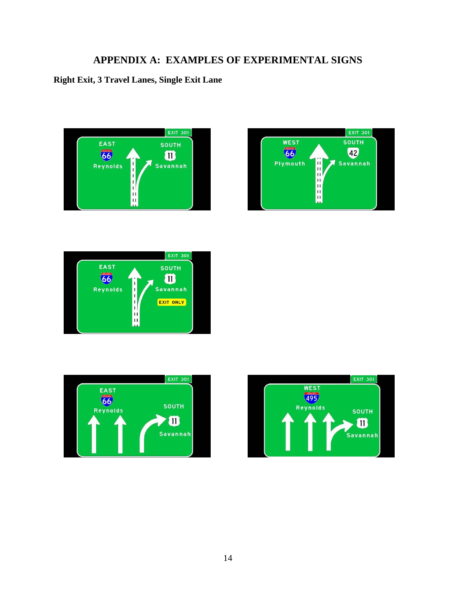## **APPENDIX A: EXAMPLES OF EXPERIMENTAL SIGNS**

## **Right Exit, 3 Travel Lanes, Single Exit Lane**









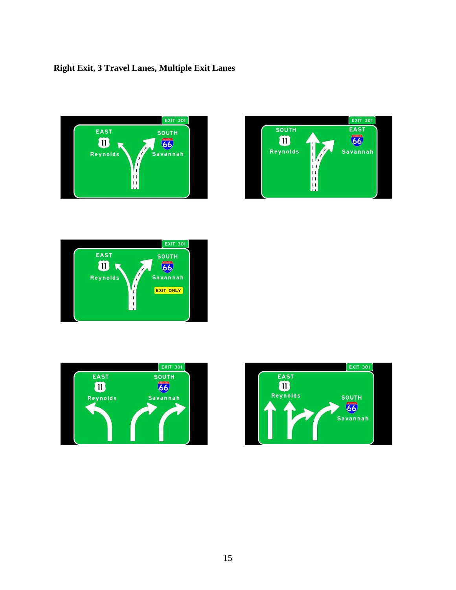## **Right Exit, 3 Travel Lanes, Multiple Exit Lanes**









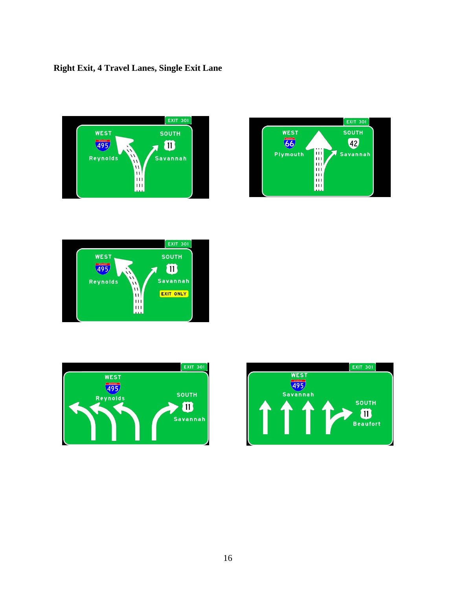## **Right Exit, 4 Travel Lanes, Single Exit Lane**









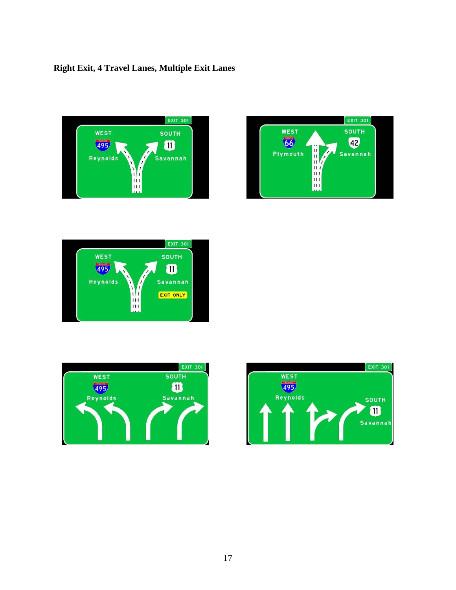## **Right Exit, 4 Travel Lanes, Multiple Exit Lanes**









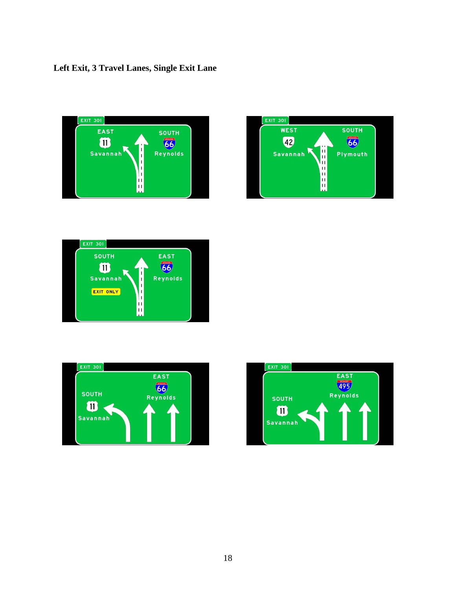## **Left Exit, 3 Travel Lanes, Single Exit Lane**









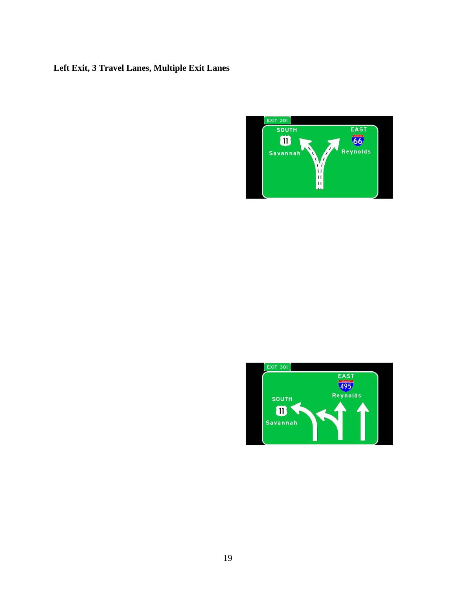## **Left Exit, 3 Travel Lanes, Multiple Exit Lanes**



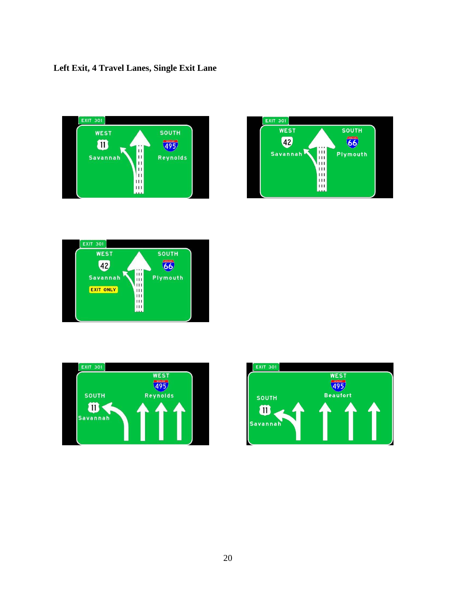## **Left Exit, 4 Travel Lanes, Single Exit Lane**